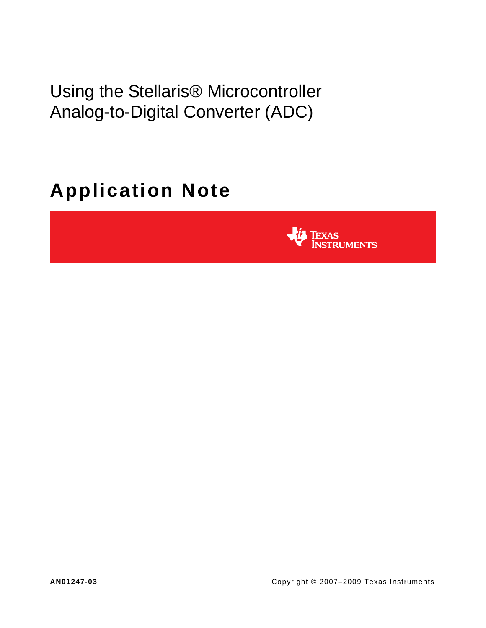Using the Stellaris® Microcontroller Analog-to-Digital Converter (ADC)

# **Application Note**

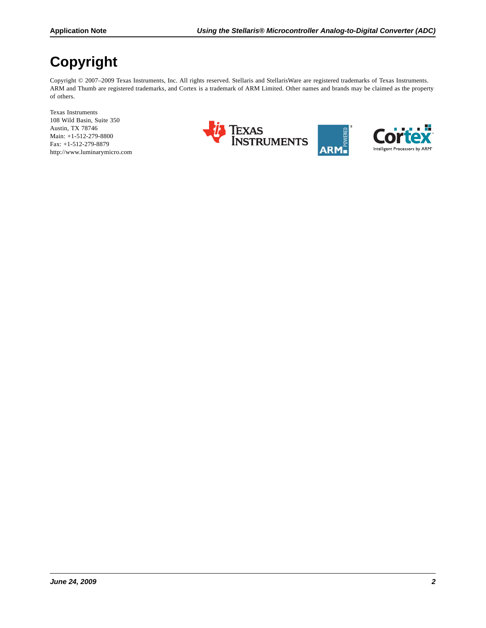# **Copyright**

Copyright © 2007-2009 Texas Instruments, Inc. All rights reserved. Stellaris and StellarisWare are registered trademarks of Texas Instruments. ARM and Thumb are registered trademarks, and Cortex is a trademark of ARM Limited. Other names and brands may be claimed as the property of others.

Texas Instruments 108 Wild Basin, Suite 350 Austin, TX 78746 Main: +1-512-279-8800 Fax: +1-512-279-8879 http://www.luminarymicro.com



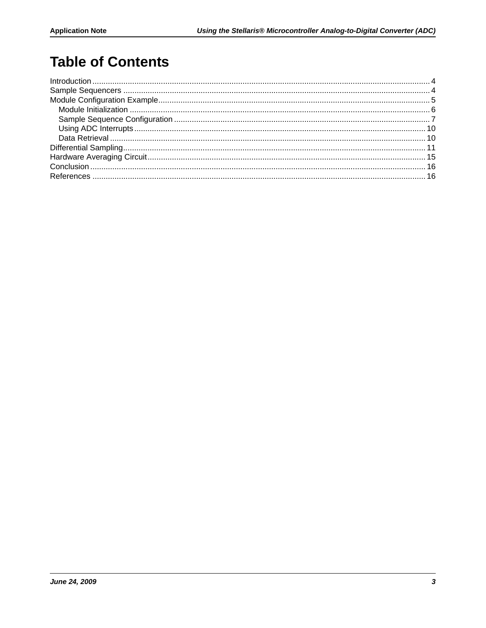# **Table of Contents**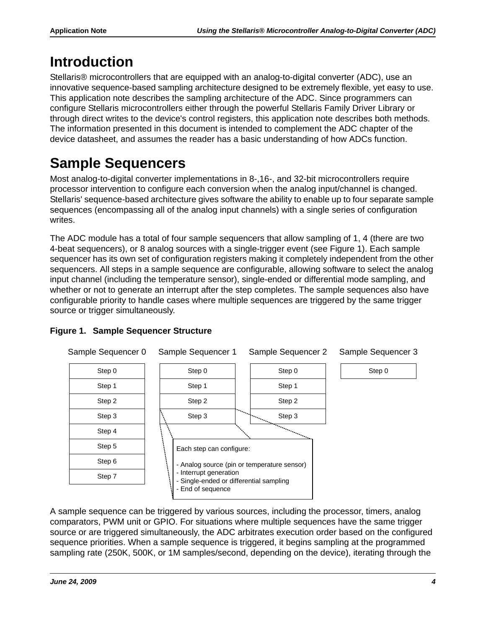# <span id="page-3-0"></span>**Introduction**

Stellaris® microcontrollers that are equipped with an analog-to-digital converter (ADC), use an innovative sequence-based sampling architecture designed to be extremely flexible, yet easy to use. This application note describes the sampling architecture of the ADC. Since programmers can configure Stellaris microcontrollers either through the powerful Stellaris Family Driver Library or through direct writes to the device's control registers, this application note describes both methods. The information presented in this document is intended to complement the ADC chapter of the device datasheet, and assumes the reader has a basic understanding of how ADCs function.

# <span id="page-3-1"></span>**Sample Sequencers**

Most analog-to-digital converter implementations in 8-,16-, and 32-bit microcontrollers require processor intervention to configure each conversion when the analog input/channel is changed. Stellaris' sequence-based architecture gives software the ability to enable up to four separate sample sequences (encompassing all of the analog input channels) with a single series of configuration writes.

The ADC module has a total of four sample sequencers that allow sampling of 1, 4 (there are two 4-beat sequencers), or 8 analog sources with a single-trigger event (see [Figure 1](#page-3-2)). Each sample sequencer has its own set of configuration registers making it completely independent from the other sequencers. All steps in a sample sequence are configurable, allowing software to select the analog input channel (including the temperature sensor), single-ended or differential mode sampling, and whether or not to generate an interrupt after the step completes. The sample sequences also have configurable priority to handle cases where multiple sequences are triggered by the same trigger source or trigger simultaneously.



## <span id="page-3-2"></span>**Figure 1. Sample Sequencer Structure**

A sample sequence can be triggered by various sources, including the processor, timers, analog comparators, PWM unit or GPIO. For situations where multiple sequences have the same trigger source or are triggered simultaneously, the ADC arbitrates execution order based on the configured sequence priorities. When a sample sequence is triggered, it begins sampling at the programmed sampling rate (250K, 500K, or 1M samples/second, depending on the device), iterating through the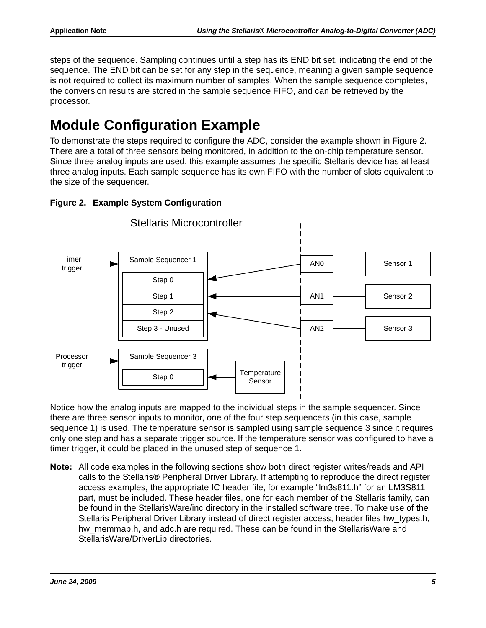steps of the sequence. Sampling continues until a step has its END bit set, indicating the end of the sequence. The END bit can be set for any step in the sequence, meaning a given sample sequence is not required to collect its maximum number of samples. When the sample sequence completes, the conversion results are stored in the sample sequence FIFO, and can be retrieved by the processor.

# <span id="page-4-0"></span>**Module Configuration Example**

To demonstrate the steps required to configure the ADC, consider the example shown in [Figure 2.](#page-4-1) There are a total of three sensors being monitored, in addition to the on-chip temperature sensor. Since three analog inputs are used, this example assumes the specific Stellaris device has at least three analog inputs. Each sample sequence has its own FIFO with the number of slots equivalent to the size of the sequencer.



## <span id="page-4-1"></span>**Figure 2. Example System Configuration**

Notice how the analog inputs are mapped to the individual steps in the sample sequencer. Since there are three sensor inputs to monitor, one of the four step sequencers (in this case, sample sequence 1) is used. The temperature sensor is sampled using sample sequence 3 since it requires only one step and has a separate trigger source. If the temperature sensor was configured to have a timer trigger, it could be placed in the unused step of sequence 1.

**Note:** All code examples in the following sections show both direct register writes/reads and API calls to the Stellaris® Peripheral Driver Library. If attempting to reproduce the direct register access examples, the appropriate IC header file, for example "lm3s811.h" for an LM3S811 part, must be included. These header files, one for each member of the Stellaris family, can be found in the StellarisWare/inc directory in the installed software tree. To make use of the Stellaris Peripheral Driver Library instead of direct register access, header files hw\_types.h, hw memmap.h, and adc.h are required. These can be found in the StellarisWare and StellarisWare/DriverLib directories.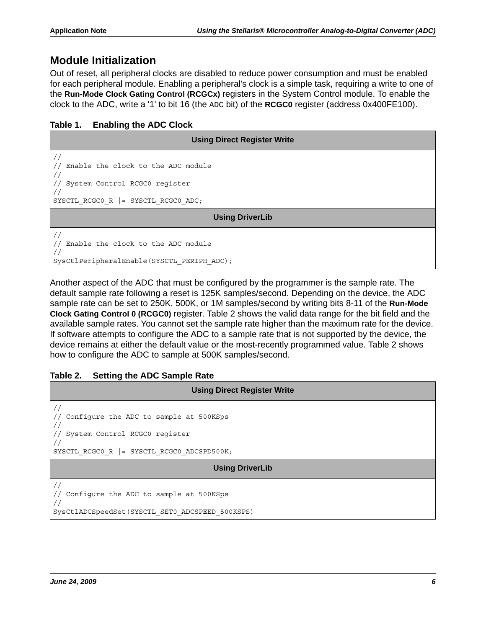## <span id="page-5-0"></span>**Module Initialization**

Out of reset, all peripheral clocks are disabled to reduce power consumption and must be enabled for each peripheral module. Enabling a peripheral's clock is a simple task, requiring a write to one of the **Run-Mode Clock Gating Control (RCGCx)** registers in the System Control module. To enable the clock to the ADC, write a '1' to bit 16 (the ADC bit) of the **RCGC0** register (address 0x400FE100).

#### **Table 1. Enabling the ADC Clock**

| <b>Using Direct Register Write</b>                                                                            |  |  |  |
|---------------------------------------------------------------------------------------------------------------|--|--|--|
| Enable the clock to the ADC module<br>System Control RCGC0 register<br>SYSCTL RCGCO R $ $ = SYSCTL RCGCO ADC; |  |  |  |
| <b>Using DriverLib</b>                                                                                        |  |  |  |
| Enable the clock to the ADC module<br>SysCtlPeripheralEnable(SYSCTL PERIPH ADC);                              |  |  |  |

Another aspect of the ADC that must be configured by the programmer is the sample rate. The default sample rate following a reset is 125K samples/second. Depending on the device, the ADC sample rate can be set to 250K, 500K, or 1M samples/second by writing bits 8-11 of the **Run-Mode Clock Gating Control 0 (RCGC0)** register. [Table 2](#page-5-1) shows the valid data range for the bit field and the available sample rates. You cannot set the sample rate higher than the maximum rate for the device. If software attempts to configure the ADC to a sample rate that is not supported by the device, the device remains at either the default value or the most-recently programmed value. [Table 2](#page-5-1) shows how to configure the ADC to sample at 500K samples/second.

#### <span id="page-5-1"></span>**Table 2. Setting the ADC Sample Rate**

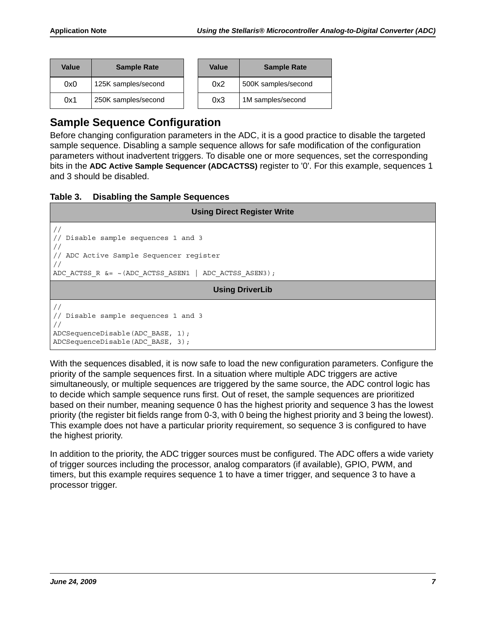| Value | <b>Sample Rate</b>  | Value | <b>Sample Rate</b>  |
|-------|---------------------|-------|---------------------|
| 0x0   | 125K samples/second | 0x2   | 500K samples/second |
| 0x1   | 250K samples/second | 0x3   | 1M samples/second   |

## <span id="page-6-0"></span>**Sample Sequence Configuration**

Before changing configuration parameters in the ADC, it is a good practice to disable the targeted sample sequence. Disabling a sample sequence allows for safe modification of the configuration parameters without inadvertent triggers. To disable one or more sequences, set the corresponding bits in the **ADC Active Sample Sequencer (ADCACTSS)** register to '0'. For this example, sequences 1 and 3 should be disabled.

#### **Table 3. Disabling the Sample Sequences**

| <b>Using Direct Register Write</b>                                                                                                                                                           |  |  |  |
|----------------------------------------------------------------------------------------------------------------------------------------------------------------------------------------------|--|--|--|
| $\frac{1}{2}$<br>// Disable sample sequences 1 and 3<br>$\frac{1}{2}$<br>// ADC Active Sample Sequencer register<br>$\frac{1}{2}$<br>ADC ACTSS R $\&=$ ~(ADC ACTSS ASEN1   ADC ACTSS ASEN3); |  |  |  |
| <b>Using DriverLib</b>                                                                                                                                                                       |  |  |  |
| $\frac{1}{2}$<br>// Disable sample sequences 1 and 3<br>$\frac{1}{2}$<br>ADCSequenceDisable(ADC BASE, 1);<br>ADCSequenceDisable(ADC BASE, 3);                                                |  |  |  |

With the sequences disabled, it is now safe to load the new configuration parameters. Configure the priority of the sample sequences first. In a situation where multiple ADC triggers are active simultaneously, or multiple sequences are triggered by the same source, the ADC control logic has to decide which sample sequence runs first. Out of reset, the sample sequences are prioritized based on their number, meaning sequence 0 has the highest priority and sequence 3 has the lowest priority (the register bit fields range from 0-3, with 0 being the highest priority and 3 being the lowest). This example does not have a particular priority requirement, so sequence 3 is configured to have the highest priority.

In addition to the priority, the ADC trigger sources must be configured. The ADC offers a wide variety of trigger sources including the processor, analog comparators (if available), GPIO, PWM, and timers, but this example requires sequence 1 to have a timer trigger, and sequence 3 to have a processor trigger.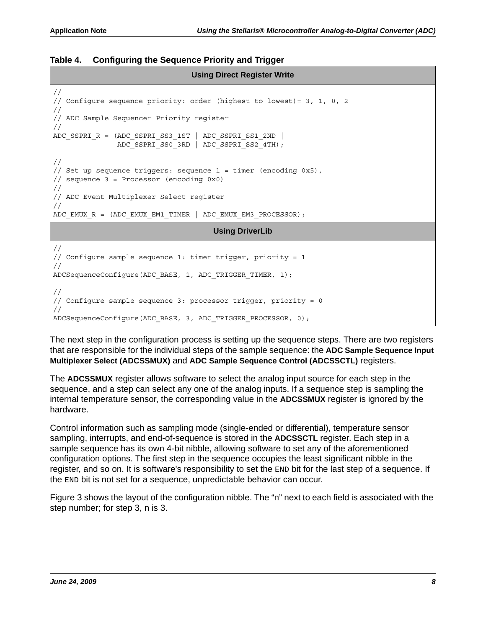#### **Table 4. Configuring the Sequence Priority and Trigger**

#### **Using Direct Register Write**

```
//
// Configure sequence priority: order (highest to lowest)= 3, 1, 0, 2
//
// ADC Sample Sequencer Priority register
//
ADC SSPRI R = (ADC SSPRI SS3_1ST | ADC SSPRI SS1_2ND |
                ADC_SSPRI_SS0_3RD | ADC_SSPRI_SS2_4TH);
//
// Set up sequence triggers: sequence 1 = timer (encoding 0x5), 
// sequence 3 = Processor (encoding 0x0)
//
// ADC Event Multiplexer Select register
//
ADC_EMUX_R = (ADC_EMUX_EM1_TIMER | ADC_EMUX_EM3_PROCESSOR);
```
#### **Using DriverLib**

```
//
// Configure sample sequence 1: timer trigger, priority = 1
//
ADCSequenceConfigure(ADC_BASE, 1, ADC_TRIGGER_TIMER, 1);
//
// Configure sample sequence 3: processor trigger, priority = 0
//
ADCSequenceConfigure(ADC_BASE, 3, ADC_TRIGGER_PROCESSOR, 0);
```
The next step in the configuration process is setting up the sequence steps. There are two registers that are responsible for the individual steps of the sample sequence: the **ADC Sample Sequence Input Multiplexer Select (ADCSSMUX)** and **ADC Sample Sequence Control (ADCSSCTL)** registers.

The **ADCSSMUX** register allows software to select the analog input source for each step in the sequence, and a step can select any one of the analog inputs. If a sequence step is sampling the internal temperature sensor, the corresponding value in the **ADCSSMUX** register is ignored by the hardware.

Control information such as sampling mode (single-ended or differential), temperature sensor sampling, interrupts, and end-of-sequence is stored in the **ADCSSCTL** register. Each step in a sample sequence has its own 4-bit nibble, allowing software to set any of the aforementioned configuration options. The first step in the sequence occupies the least significant nibble in the register, and so on. It is software's responsibility to set the END bit for the last step of a sequence. If the END bit is not set for a sequence, unpredictable behavior can occur.

[Figure 3](#page-8-0) shows the layout of the configuration nibble. The "n" next to each field is associated with the step number; for step 3, n is 3.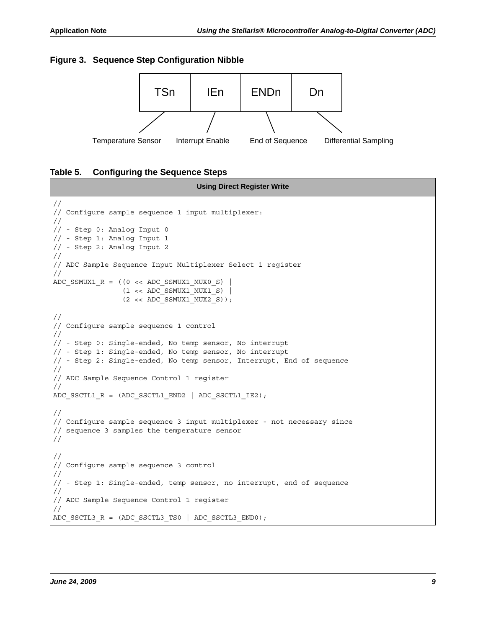#### <span id="page-8-0"></span>**Figure 3. Sequence Step Configuration Nibble**



#### <span id="page-8-1"></span>**Table 5. Configuring the Sequence Steps**

```
Using Direct Register Write
//
// Configure sample sequence 1 input multiplexer:
//
// - Step 0: Analog Input 0
// - Step 1: Analog Input 1
// - Step 2: Analog Input 2
//
// ADC Sample Sequence Input Multiplexer Select 1 register
//
ADC SSMUX1 R = ((0 \lt k ADC SSMUX1 MUX0 S) )(1 \lt k \text{ADC SSMUX1 MUX1 S})(2 \lt k \text{ADC SSMUX1 MUX2 S}));//
// Configure sample sequence 1 control 
//
// - Step 0: Single-ended, No temp sensor, No interrupt
// - Step 1: Single-ended, No temp sensor, No interrupt
// - Step 2: Single-ended, No temp sensor, Interrupt, End of sequence
//
// ADC Sample Sequence Control 1 register
//
ADC_SSCTL1_R = (ADC\_SSCTL1\_END2 | ADC\_SSCTL1_IE2);//
// Configure sample sequence 3 input multiplexer - not necessary since
// sequence 3 samples the temperature sensor
//
//
// Configure sample sequence 3 control 
//
// - Step 1: Single-ended, temp sensor, no interrupt, end of sequence
//
// ADC Sample Sequence Control 1 register
//
ADC_SSCTL3_R = (ADC_SSCTL3_TS0 | ADC_SSCTL3_END0);
```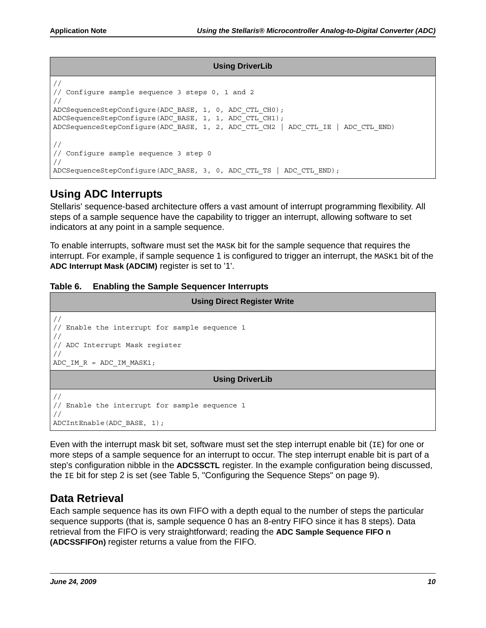#### **Using DriverLib**

```
//
// Configure sample sequence 3 steps 0, 1 and 2
//
ADCSequenceStepConfigure(ADC_BASE, 1, 0, ADC_CTL_CH0);
ADCSequenceStepConfigure(ADC_BASE, 1, 1, ADC_CTL_CH1);
ADCSequenceStepConfigure(ADC_BASE, 1, 2, ADC_CTL_CH2 | ADC_CTL_IE | ADC_CTL_END)
//
// Configure sample sequence 3 step 0
//
ADCSequenceStepConfigure(ADC_BASE, 3, 0, ADC_CTL_TS | ADC_CTL_END);
```
## <span id="page-9-0"></span>**Using ADC Interrupts**

Stellaris' sequence-based architecture offers a vast amount of interrupt programming flexibility. All steps of a sample sequence have the capability to trigger an interrupt, allowing software to set indicators at any point in a sample sequence.

To enable interrupts, software must set the MASK bit for the sample sequence that requires the interrupt. For example, if sample sequence 1 is configured to trigger an interrupt, the MASK1 bit of the **ADC Interrupt Mask (ADCIM)** register is set to '1'.

#### **Table 6. Enabling the Sample Sequencer Interrupts**

| <b>Using Direct Register Write</b>                                                                                                                                             |  |  |  |
|--------------------------------------------------------------------------------------------------------------------------------------------------------------------------------|--|--|--|
| $\frac{1}{2}$<br>Enable the interrupt for sample sequence 1<br>$\frac{1}{2}$<br>$\frac{1}{2}$<br>// ADC Interrupt Mask register<br>$\frac{1}{2}$<br>ADC IM $R = ADC$ IM MASK1; |  |  |  |
| <b>Using DriverLib</b>                                                                                                                                                         |  |  |  |
| $\frac{1}{2}$<br>Enable the interrupt for sample sequence 1<br>$\frac{1}{2}$<br>$\frac{1}{2}$<br>ADCIntEnable(ADC BASE, 1);                                                    |  |  |  |

Even with the interrupt mask bit set, software must set the step interrupt enable bit  $(IE)$  for one or more steps of a sample sequence for an interrupt to occur. The step interrupt enable bit is part of a step's configuration nibble in the **ADCSSCTL** register. In the example configuration being discussed, the IE bit for step 2 is set (see [Table 5, "Configuring the Sequence Steps" on page 9\)](#page-8-1).

## <span id="page-9-1"></span>**Data Retrieval**

Each sample sequence has its own FIFO with a depth equal to the number of steps the particular sequence supports (that is, sample sequence 0 has an 8-entry FIFO since it has 8 steps). Data retrieval from the FIFO is very straightforward; reading the **ADC Sample Sequence FIFO n (ADCSSFIFOn)** register returns a value from the FIFO.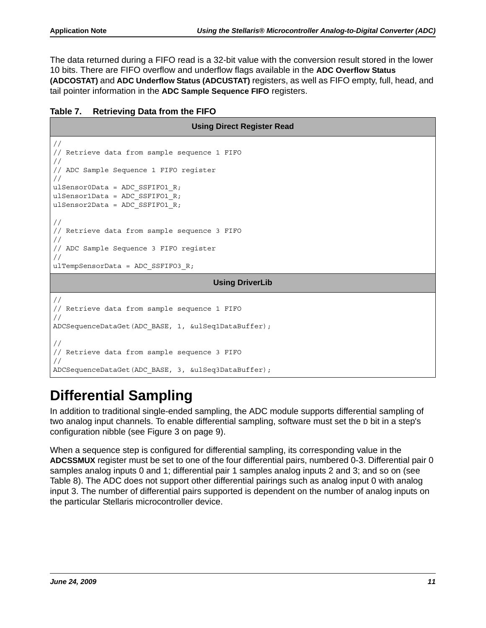The data returned during a FIFO read is a 32-bit value with the conversion result stored in the lower 10 bits. There are FIFO overflow and underflow flags available in the **ADC Overflow Status (ADCOSTAT)** and **ADC Underflow Status (ADCUSTAT)** registers, as well as FIFO empty, full, head, and tail pointer information in the **ADC Sample Sequence FIFO** registers.

| Table 7. | <b>Retrieving Data from the FIFO</b> |  |  |
|----------|--------------------------------------|--|--|

```
Using Direct Register Read
//
// Retrieve data from sample sequence 1 FIFO
//
// ADC Sample Sequence 1 FIFO register
//
ulSensor0Data = ADC_SSFIFO1_R;
ulSensor1Data = ADC SSFIFO1 R;
ulSensor2Data = ADC SSFIFO1 R;
//
// Retrieve data from sample sequence 3 FIFO
//
// ADC Sample Sequence 3 FIFO register
//
ulTempSensorData = ADC_SSFIFO3_R;
                                       Using DriverLib
//
// Retrieve data from sample sequence 1 FIFO
//
ADCSequenceDataGet(ADC_BASE, 1, &ulSeq1DataBuffer);
//
// Retrieve data from sample sequence 3 FIFO
//
ADCSequenceDataGet(ADC_BASE, 3, &ulSeq3DataBuffer);
```
# <span id="page-10-0"></span>**Differential Sampling**

In addition to traditional single-ended sampling, the ADC module supports differential sampling of two analog input channels. To enable differential sampling, software must set the  $\nu$  bit in a step's configuration nibble (see [Figure 3 on page 9\)](#page-8-0).

When a sequence step is configured for differential sampling, its corresponding value in the **ADCSSMUX** register must be set to one of the four differential pairs, numbered 0-3. Differential pair 0 samples analog inputs 0 and 1; differential pair 1 samples analog inputs 2 and 3; and so on (see [Table 8](#page-11-0)). The ADC does not support other differential pairings such as analog input 0 with analog input 3. The number of differential pairs supported is dependent on the number of analog inputs on the particular Stellaris microcontroller device.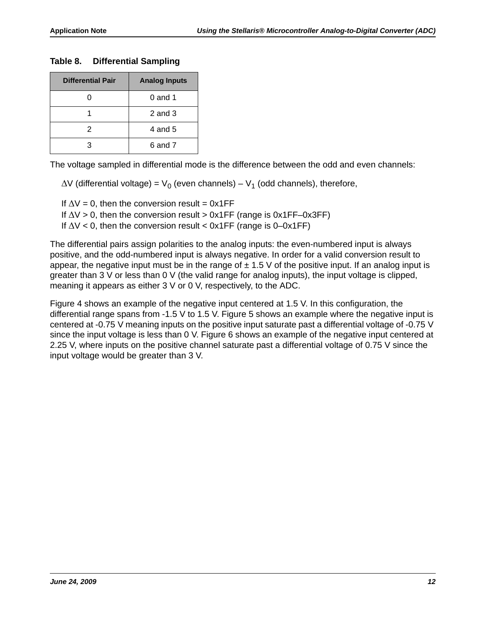#### <span id="page-11-0"></span>**Table 8. Differential Sampling**

| <b>Differential Pair</b> | <b>Analog Inputs</b> |
|--------------------------|----------------------|
|                          | $0$ and 1            |
|                          | $2$ and $3$          |
| 2                        | 4 and 5              |
| З                        | 6 and 7              |

The voltage sampled in differential mode is the difference between the odd and even channels:

 $\Delta V$  (differential voltage) =  $V_0$  (even channels) –  $V_1$  (odd channels), therefore,

If  $\Delta V = 0$ , then the conversion result = 0x1FF

If  $\Delta V > 0$ , then the conversion result  $> 0x1FF$  (range is  $0x1FF-0x3FF$ )

If  $\Delta V$  < 0, then the conversion result < 0x1FF (range is 0–0x1FF)

The differential pairs assign polarities to the analog inputs: the even-numbered input is always positive, and the odd-numbered input is always negative. In order for a valid conversion result to appear, the negative input must be in the range of  $\pm$  1.5 V of the positive input. If an analog input is greater than 3 V or less than 0 V (the valid range for analog inputs), the input voltage is clipped, meaning it appears as either 3 V or 0 V, respectively, to the ADC.

[Figure 4](#page-12-0) shows an example of the negative input centered at 1.5 V. In this configuration, the differential range spans from -1.5 V to 1.5 V. [Figure 5](#page-12-1) shows an example where the negative input is centered at -0.75 V meaning inputs on the positive input saturate past a differential voltage of -0.75 V since the input voltage is less than 0 V. [Figure 6](#page-13-0) shows an example of the negative input centered at 2.25 V, where inputs on the positive channel saturate past a differential voltage of 0.75 V since the input voltage would be greater than 3 V.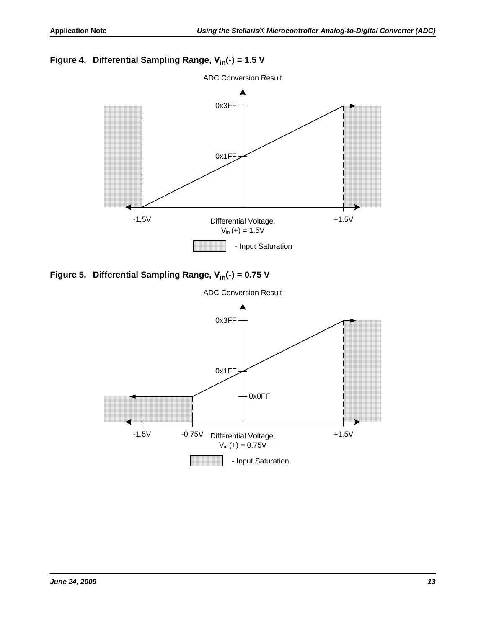## <span id="page-12-0"></span>Figure 4. Differential Sampling Range, V<sub>in</sub>(-) = 1.5 V



<span id="page-12-1"></span>Figure 5. Differential Sampling Range, V<sub>in</sub>(-) = 0.75 V

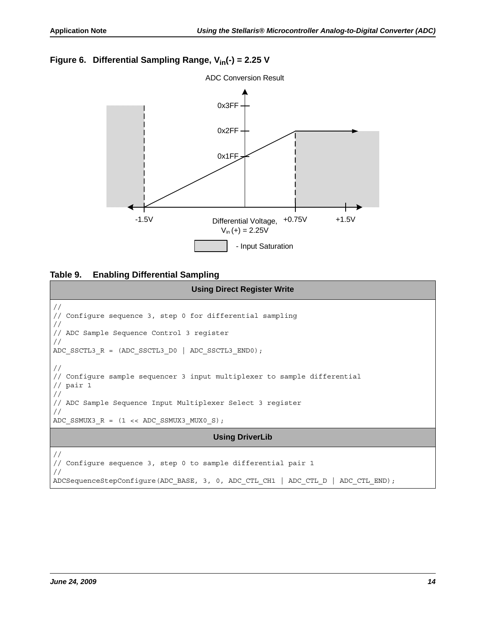#### <span id="page-13-0"></span>Figure 6. Differential Sampling Range, V<sub>in</sub>(-) = 2.25 V



#### **Table 9. Enabling Differential Sampling**

```
Using Direct Register Write
//
// Configure sequence 3, step 0 for differential sampling
//
// ADC Sample Sequence Control 3 register
//
ADC SSCTL3 R = (ADC SSCI13 DO | ADC SSCI13 END0);//
// Configure sample sequencer 3 input multiplexer to sample differential
// pair 1
//
// ADC Sample Sequence Input Multiplexer Select 3 register
//
ADC SSMUX3 R = (1 \ll \text{ADC} SSMUX3 MUX0 S);
                                       Using DriverLib
//
// Configure sequence 3, step 0 to sample differential pair 1
//
ADCSequenceStepConfigure(ADC_BASE, 3, 0, ADC_CTL_CH1 | ADC_CTL_D | ADC_CTL_END);
```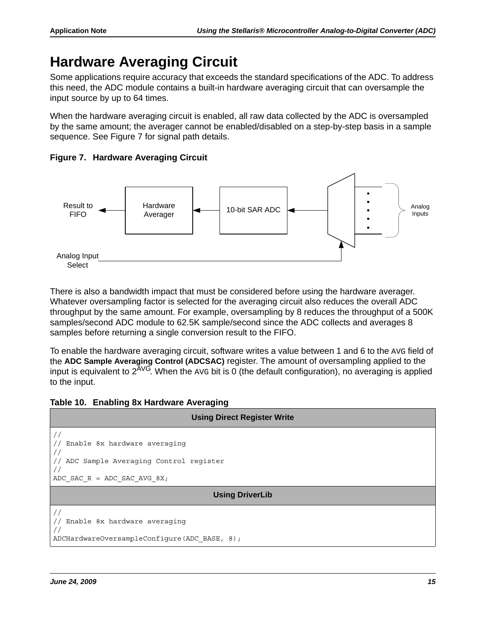## <span id="page-14-0"></span>**Hardware Averaging Circuit**

Some applications require accuracy that exceeds the standard specifications of the ADC. To address this need, the ADC module contains a built-in hardware averaging circuit that can oversample the input source by up to 64 times.

When the hardware averaging circuit is enabled, all raw data collected by the ADC is oversampled by the same amount; the averager cannot be enabled/disabled on a step-by-step basis in a sample sequence. See [Figure 7](#page-14-1) for signal path details.

<span id="page-14-1"></span>**Figure 7. Hardware Averaging Circuit**



There is also a bandwidth impact that must be considered before using the hardware averager. Whatever oversampling factor is selected for the averaging circuit also reduces the overall ADC throughput by the same amount. For example, oversampling by 8 reduces the throughput of a 500K samples/second ADC module to 62.5K sample/second since the ADC collects and averages 8 samples before returning a single conversion result to the FIFO.

To enable the hardware averaging circuit, software writes a value between 1 and 6 to the AVG field of the **ADC Sample Averaging Control (ADCSAC)** register. The amount of oversampling applied to the input is equivalent to  $2^{AVG}$ . When the AVG bit is 0 (the default configuration), no averaging is applied to the input.



| <b>Using Direct Register Write</b>                                                                     |  |  |  |
|--------------------------------------------------------------------------------------------------------|--|--|--|
| Enable 8x hardware averaging<br>ADC Sample Averaging Control register<br>ADC SAC $R = ADC$ SAC AVG 8X; |  |  |  |
| <b>Using DriverLib</b>                                                                                 |  |  |  |
| Enable 8x hardware averaging<br>ADCHardwareOversampleConfigure(ADC_BASE, 8);                           |  |  |  |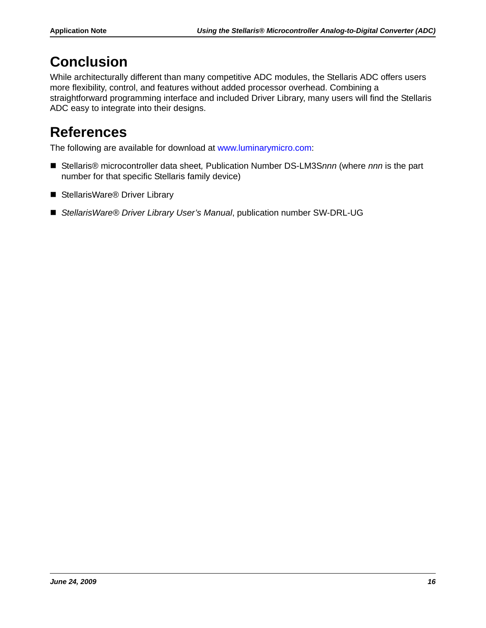# <span id="page-15-0"></span>**Conclusion**

While architecturally different than many competitive ADC modules, the Stellaris ADC offers users more flexibility, control, and features without added processor overhead. Combining a straightforward programming interface and included Driver Library, many users will find the Stellaris ADC easy to integrate into their designs.

# <span id="page-15-1"></span>**References**

The following are available for download at www.luminarymicro.com:

- Stellaris<sup>®</sup> microcontroller data sheet, Publication Number DS-LM3S*nnn* (where *nnn* is the part number for that specific Stellaris family device)
- StellarisWare<sup>®</sup> Driver Library
- *StellarisWare® Driver Library User's Manual*, publication number SW-DRL-UG